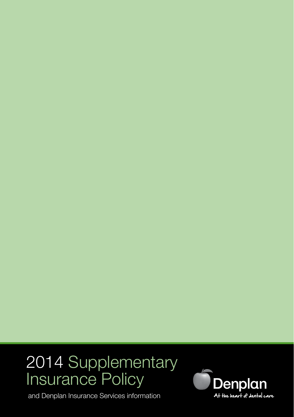# 2014 Supplementary Insurance Policy

and Denplan Insurance Services information

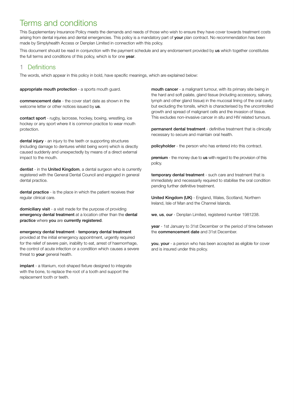# Terms and conditions

This Supplementary Insurance Policy meets the demands and needs of those who wish to ensure they have cover towards treatment costs arising from dental injuries and dental emergencies. This policy is a mandatory part of **your** plan contract. No recommendation has been made by Simplyhealth Access or Denplan Limited in connection with this policy.

This document should be read in conjunction with the payment schedule and any endorsement provided by us which together constitutes the full terms and conditions of this policy, which is for one year.

## 1 Definitions

The words, which appear in this policy in bold, have specific meanings, which are explained below:

appropriate mouth protection - a sports mouth guard.

commencement date - the cover start date as shown in the welcome letter or other notices issued by us.

contact sport - rugby, lacrosse, hockey, boxing, wrestling, ice hockey or any sport where it is common practice to wear mouth protection.

dental injury - an injury to the teeth or supporting structures (including damage to dentures whilst being worn) which is directly caused suddenly and unexpectedly by means of a direct external impact to the mouth.

dentist - in the United Kingdom, a dental surgeon who is currently registered with the General Dental Council and engaged in general dental practice.

dental practice - is the place in which the patient receives their regular clinical care.

domiciliary visit - a visit made for the purpose of providing emergency dental treatment at a location other than the dental practice where you are currently registered.

emergency dental treatment - temporary dental treatment

provided at the initial emergency appointment, urgently required for the relief of severe pain, inability to eat, arrest of haemorrhage, the control of acute infection or a condition which causes a severe threat to your general health.

implant - a titanium, root-shaped fixture designed to integrate with the bone, to replace the root of a tooth and support the replacement tooth or teeth.

mouth cancer - a malignant tumour, with its primary site being in the hard and soft palate, gland tissue (including accessory, salivary, lymph and other gland tissue) in the mucosal lining of the oral cavity but excluding the tonsils, which is characterised by the uncontrolled growth and spread of malignant cells and the invasion of tissue. This excludes non-invasive cancer in situ and HIV related tumours.

permanent dental treatment - definitive treatment that is clinically necessary to secure and maintain oral health.

policyholder - the person who has entered into this contract.

premium - the money due to us with regard to the provision of this policy.

temporary dental treatment - such care and treatment that is immediately and necessarily required to stabilise the oral condition pending further definitive treatment.

United Kingdom (UK) - England, Wales, Scotland, Northern Ireland, Isle of Man and the Channel Islands.

we, us, our - Denplan Limited, registered number 1981238.

year - 1st January to 31st December or the period of time between the commencement date and 31st December.

you, your - a person who has been accepted as eligible for cover and is insured under this policy.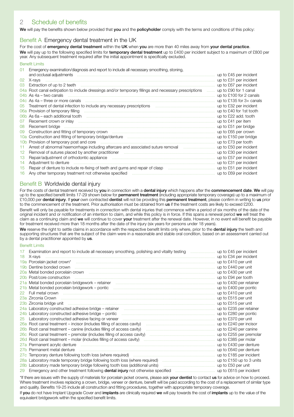# 2 Schedule of benefits

We will pay the benefits shown below provided that you and the policyholder comply with the terms and conditions of this policy:

#### Benefit A Emergency dental treatment in the UK

For the cost of emergency dental treatment within the UK when you are more than 40 miles away from your dental practice. We will pay up to the following specified limits for temporary dental treatment up to £400 per incident subject to a maximum of £800 per year. Any subsequent treatment required after the initial appointment is specifically excluded.

#### Benefit Limits

| 01              | Emergency examination/diagnosis and report to include all necessary smoothing, stoning,                                                                                                                                        | up to £45 per incident   |
|-----------------|--------------------------------------------------------------------------------------------------------------------------------------------------------------------------------------------------------------------------------|--------------------------|
| 02              |                                                                                                                                                                                                                                | up to £31 per incident   |
| 03              |                                                                                                                                                                                                                                | up to £67 per incident   |
|                 | 04a Root canal extirpation to include dressings and/or temporary fillings and necessary prescriptions                                                                                                                          | up to £90 for 1 canal    |
|                 |                                                                                                                                                                                                                                | up to £100 for 2 canals  |
|                 |                                                                                                                                                                                                                                | up to £135 for 3+ canals |
| 0 <sub>5</sub>  | Treatment of dental infection to include any necessary prescriptions manufactured in the manufactured of dental infection to include any necessary prescriptions                                                               | up to £32 per incident   |
|                 |                                                                                                                                                                                                                                | up to £40 for 1st tooth  |
|                 |                                                                                                                                                                                                                                | up to £22 add. tooth     |
| 07              |                                                                                                                                                                                                                                | up to £41 per item       |
| 08              | Recement bridge manufactured and contact the contract of the contract of the contract of the contract of the contract of the contract of the contract of the contract of the contract of the contract of the contract of the c | up to £51 per bridge     |
| 09              |                                                                                                                                                                                                                                |                          |
| 10a             |                                                                                                                                                                                                                                | up to £150 per bridge    |
| 10 <sub>b</sub> | Provision of temporary post and core manufactured contracts and core manufactured and core manufactured and core manufactured and core manufactured and core manufactured and core manufactured and core manufactured and core | up to £73 per tooth      |
| 11.             | Arrest of abnormal haemorrhage including aftercare and associated suture removal <i>manufallum</i> manufallum assets                                                                                                           | up to £50 per incident   |
| $12^{1}$        | Removal of sutures placed by another practitioner manufactured and announcement with the C30 per incident                                                                                                                      |                          |
| 13              | Repair/adjustment of orthodontic appliance<br>Adjustment to denture material contents and according a distribution of the content of denture                                                                                   | up to £57 per incident   |
| 14              |                                                                                                                                                                                                                                | up to £31 per incident   |
| 15              |                                                                                                                                                                                                                                | up to £51 per incident   |
| 16              | Any other temporary treatment not otherwise specified manufactured and content temporary treatment not otherwise specified                                                                                                     | up to £69 per incident   |

#### Benefit B Worldwide dental injury

For the costs of dental treatment received by you in connection with a dental injury which happens after the commencement date. We will pay up to the specified benefit limits 17-29 shown below for **permanent treatment** (including appropriate temporary coverage) up to a maximum of £10,000 per dental injury. If your own contracted dentist will not be providing this permanent treatment, please confirm in writing to us prior to the commencement of the treatment. Prior authorisation must be obtained from us if the treatment costs are likely to exceed £200. Benefit will only be payable for treatments in connection with dental injuries that commence within a period of six months of the date of the original incident and or notification of an intention to claim, and while this policy is in force. If this spans a renewal period we will treat the claim as a continuing claim and we will continue to cover your treatment after the renewal date. However, in no event will benefit be payable for treatment received more than 18 months after the date of the injury (six years for persons under 18 years).

We reserve the right to settle claims in accordance with the respective benefit limits only where, prior to the dental injury the teeth and supporting structures that are the subject of the claim were in a reasonable and stable oral condition, based on an assessment carried out by a dental practitioner appointed by us.

#### Benefit Limits

| 17 | Examination and report to include all necessary smoothing, polishing and vitality testing <i>macurities</i> up to £45 per incident                                                                                             |                          |
|----|--------------------------------------------------------------------------------------------------------------------------------------------------------------------------------------------------------------------------------|--------------------------|
| 18 | X-rays                                                                                                                                                                                                                         | up to £34 per incident   |
|    |                                                                                                                                                                                                                                | up to £410 per unit      |
|    | 19b Dentine bonded crown manufactured and contact the control of the control of the control of the control of the control of the control of the control of the control of the control of the control of the control of the con | up to £440 per unit      |
|    |                                                                                                                                                                                                                                | up to £430 per unit      |
|    | 20b Post/core construction measurements and all the control of the control of the construction of the construction                                                                                                             | up to £94 per tooth      |
|    |                                                                                                                                                                                                                                | up to £430 per retainer  |
|    |                                                                                                                                                                                                                                | up to £400 per pontic    |
|    |                                                                                                                                                                                                                                | up to £410 per unit      |
|    | 23a Zirconia Crown (11) 23a Zirconia Crown (11) 23a Zirconia Albert (11) 23a Zirconia Crown (11) 23a Zirconia Crown (11) 23a Zirconia 2010 121 2010 121 2010 121 2010 121 2010 121 2010 121 2010 121 2010 121 2010 121 2010 12 | up to £515 per unit      |
|    |                                                                                                                                                                                                                                | up to £515 per unit      |
|    | 24a Laboratory constructed adhesive bridge - retainer manufactured and resources and resources and resources                                                                                                                   | up to £235 per retainer  |
|    | 24b Laboratory constructed adhesive bridge - pontic manufactured construction constructed adhesive bridge - pontic                                                                                                             | up to £280 per pontic    |
| 25 | Laboratory constructed adhesive facing or veneer manufactured contain and constructed adhesive facing or veneer                                                                                                                | up to £370 per unit      |
|    |                                                                                                                                                                                                                                | up to £240 per incisor   |
|    |                                                                                                                                                                                                                                | up to £240 per canine    |
|    |                                                                                                                                                                                                                                | up to £255 per premolar  |
|    |                                                                                                                                                                                                                                | up to £385 per molar     |
|    |                                                                                                                                                                                                                                | up to £430 per denture   |
|    |                                                                                                                                                                                                                                | up to £640 per denture   |
|    |                                                                                                                                                                                                                                | up to £185 per incident  |
|    |                                                                                                                                                                                                                                | up to £150 up to 3 units |
|    |                                                                                                                                                                                                                                | up to £50 per unit       |
|    | 29 Emergency and other treatment following <b>dental injury</b> not otherwise specified                                                                                                                                        | up to £615 per incident  |

\*If there are issues with the supply of materials for porcelain jacket crowns, please ask your dentist to contact us for advice on how to proceed. Where treatment involves replacing a crown, bridge, veneer or denture, benefit will be paid according to the cost of a replacement of similar type and quality. Benefits 19-25 include all construction and fitting procedures, together with appropriate temporary coverage.

If you do not have Implant Upgrade Cover and implants are clinically required we will pay towards the cost of implants up to the value of the equivalent bridgework within the specified benefit limits.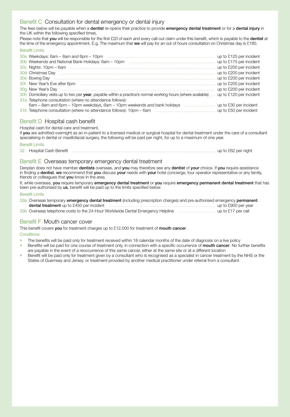#### Benefit C Consultation for dental emergency or dental injury

The fees below will be payable when a dentist re-opens their practice to provide emergency dental treatment or for a dental injury in the UK within the following specified times.

Please note that you will be responsible for the first £20 of each and every call-out claim under this benefit, which is payable to the dentist at the time of the emergency appointment. E.g. The maximum that we will pay for an out of hours consultation on Christmas day is £180.

|                                                                                                                                       | up to £125 per incident |  |  |  |
|---------------------------------------------------------------------------------------------------------------------------------------|-------------------------|--|--|--|
| 30b Weekends and National Bank Holidays: 6am - 10pm                                                                                   | up to £175 per incident |  |  |  |
|                                                                                                                                       | up to £200 per incident |  |  |  |
| 30d Christmas Dav                                                                                                                     | up to £200 per incident |  |  |  |
| 30e Boxing Day                                                                                                                        | up to £200 per incident |  |  |  |
| 30f New Year's Eve after 6pm                                                                                                          | up to £200 per incident |  |  |  |
|                                                                                                                                       | up to £200 per incident |  |  |  |
| 30h Domiciliary visits up to two per year, payable within a practice's normal working hours (where available) up to £120 per incident |                         |  |  |  |
| 31a Telephone consultation (where no attendance follows):                                                                             |                         |  |  |  |
| 6am – 8am and 6pm – 10pm weekdays, 6am – 10pm weekends and bank holidays                                                              | up to £30 per incident  |  |  |  |
| 31b Telephone consultation (where no attendance follows): 10pm - 6am                                                                  | up to £50 per incident  |  |  |  |

#### Benefit D Hospital cash benefit

Hospital cash for dental care and treatment.

If you are admitted overnight as an in-patient to a licensed medical or surgical hospital for dental treatment under the care of a consultant specialising in dental or maxillofacial surgery, the following will be paid per night, for up to a maximum of one year.

#### Benefit Limits

Benefit Limits

32 Hospital Cash Benefit .......................................................................................................................... up to £62 per night

#### Benefit E Overseas temporary emergency dental treatment

Denplan does not have member dentists overseas, and you may therefore see any dentist of your choice. If you require assistance in finding a **dentist, we** recommend that you discuss your needs with your hotel concierge, tour operator representative or any family, friends or colleagues that you know in the area.

If, while overseas, you require temporary emergency dental treatment or you require emergency permanent dental treatment that has been pre-authorised by us, benefit will be paid up to the limits specified below.

#### Benefit Limits

| 33a Overseas temporary emergency dental treatment (including prescription charges) and pre-authorised emergency permanent |                     |
|---------------------------------------------------------------------------------------------------------------------------|---------------------|
| dental treatment up to £450 per incident                                                                                  | up to £900 per year |
| 33b Overseas telephone costs to the 24-Hour Worldwide Dental Emergency Helpline                                           | up to £17 per call  |

#### Benefit F Mouth cancer cover

This benefit covers you for treatment charges up to £12,000 for treatment of mouth cancer.

#### Conditions:

- The benefits will be paid only for treatment received within 18 calendar months of the date of diagnosis on a live policy
- Benefits will be paid for one course of treatment only, in connection with a specific occurrence of **mouth cancer**. No further benefits are payable in the event of a reoccurrence of this same cancer, either at the same site or at a different location
- Benefit will be paid only for treatment given by a consultant who is recognised as a specialist in cancer treatment by the NHS or the States of Guernsey and Jersey, or treatment provided by another medical practitioner under referral from a consultant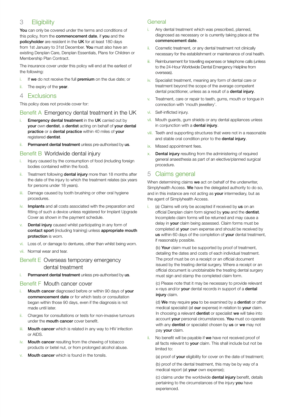# 3 **Fligibility**

You can only be covered under the terms and conditions of this policy, from the **commencement date**, if you and the policyholder are resident in the UK for at least 180 days from 1st January to 31st December. You must also have an existing Denplan Care, Denplan Essentials, Plans for Children or Membership Plan Contract.

The insurance cover under this policy will end at the earliest of the following:

- i. If we do not receive the full premium on the due date; or
- ii. The expiry of the year.

#### 4 Exclusions

This policy does not provide cover for:

#### Benefit A Emergency dental treatment in the UK

- i. Emergency dental treatment in the UK carried out by your own dentist, a dentist acting on behalf of your dental practice or a dental practice within 40 miles of your registered dentist.
- Permanent dental treatment unless pre-authorised by us.

#### Benefit B Worldwide dental injury

- Injury caused by the consumption of food (including foreign bodies contained within the food).
- ii. Treatment following dental injury more than 18 months after the date of the injury to which the treatment relates (six years for persons under 18 years).
- iii. Damage caused by tooth brushing or other oral hygiene procedures.
- iv. Implants and all costs associated with the preparation and fitting of such a device unless registered for Implant Upgrade Cover as shown in the payment schedule.
- Dental injury caused whilst participating in any form of contact sport (including training) unless appropriate mouth protection is worn.
- Loss of, or damage to dentures, other than whilst being worn.
- vii. Normal wear and tear.

#### Benefit E Overseas temporary emergency dental treatment

i. Permanent dental treatment unless pre-authorised by us.

#### Benefit F Mouth cancer cover

- Mouth cancer diagnosed before or within 90 days of your commencement date or for which tests or consultation began within those 90 days, even if the diagnosis is not made until later.
- ii. Charges for consultations or tests for non-invasive tumours under the **mouth cancer** cover benefit.
- iii. Mouth cancer which is related in any way to HIV infection or AIDS.
- iv. Mouth cancer resulting from the chewing of tobacco products or betel nut, or from prolonged alcohol abuse.
- Mouth cancer which is found in the tonsils.

#### General

- Any dental treatment which was prescribed, planned, diagnosed as necessary or is currently taking place at the commencement date.
- ii. Cosmetic treatment, or any dental treatment not clinically necessary for the establishment or maintenance of oral health.
- iii. Reimbursement for travelling expenses or telephone calls (unless to the 24-Hour Worldwide Dental Emergency Helpline from overseas).
- iv. Specialist treatment, meaning any form of dental care or treatment beyond the scope of the average competent dental practitioner, unless as a result of a dental injury.
- v. Treatment, care or repair to teeth, gums, mouth or tongue in connection with 'mouth jewellery'.
- vi. Self-inflicted injury.
- vii. Mouth guards, gum shields or any dental appliances unless in conjunction with a dental injury.
- viii. Teeth and supporting structures that were not in a reasonable and stable oral condition prior to the **dental injury**.
- ix. Missed appointment fees.
- Dental injury resulting from the administering of required general anaesthesia as part of an elective/planned surgical procedure.

#### 5 Claims general

When determining claims we act on behalf of the underwriter. Simplyhealth Access. We have the delegated authority to do so, and in this instance are not acting as your intermediary, but as the agent of Simplyhealth Access.

i. (a) Claims will only be accepted if received by us on an official Denplan claim form signed by you and the dentist. Incomplete claim forms will be returned and may cause a delay in your claim being assessed. Claim forms must be completed at your own expense and should be received by us within 60 days of the completion of your dental treatment, if reasonably possible.

(b) Your claim must be supported by proof of treatment, detailing the dates and costs of each individual treatment. The proof must be on a receipt or an official document issued by the treating dental surgery. Where a receipt or an official document is unobtainable the treating dental surgery must sign and stamp the completed claim form.

(c) Please note that it may be necessary to provide relevant x-rays and/or your dental records in support of a dental injury claim.

(d) We may require you to be examined by a dentist or other medical specialist (at our expense) in relation to your claim. In choosing a relevant dentist or specialist we will take into account your personal circumstances. You must co-operate with any **dentist** or specialist chosen by us or we may not pay your claim.

No benefit will be payable if we have not received proof of all facts relevant to **vour** claim. This shall include but not be limited to:

(a) proof of your eligibility for cover on the date of treatment;

(b) proof of the dental treatment, this may be by way of a medical report (at **your** own expense);

(c) claims under the worldwide dental injury benefit, details pertaining to the circumstances of the injury you have experienced.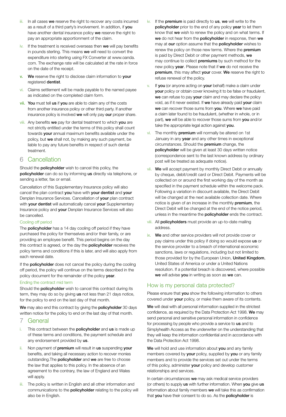- iii. In all cases we reserve the right to recover any costs incurred as a result of a third party's involvement. In addition, if you have another dental insurance policy we reserve the right to pay an appropriate apportionment of the claim.
- iv. If the treatment is received overseas then we will pay benefits in pounds sterling. This means we will need to convert the expenditure into sterling using FX Converter at www.oanda. com. The exchange rate will be calculated at the rate in force on the date of the receipt.
- v. We reserve the right to disclose claim information to your registered **dentist**.
- vi. Claims settlement will be made payable to the named payee as indicated on the completed claim form.
- vii. You must tell us if you are able to claim any of the costs from another insurance policy or other third party. If another insurance policy is involved we will only pay our proper share.
- viii. Any benefits we pay for dental treatment to which you are not strictly entitled under the terms of this policy shall count towards your annual maximum benefits available under the policy, but we shall not, by making any such payment, be liable to pay any future benefits in respect of such dental treatment.

## 6 Cancellation

Should the **policyholder** wish to cancel this policy, the policyholder can do so by informing us directly via telephone, or sending a letter, fax or email.

Cancellation of this Supplementary Insurance policy will also cancel the plan contract you have with your dentist and your Denplan Insurance Services. Cancellation of your plan contract with **vour dentist** will automatically cancel **your** Supplementary Insurance policy and your Denplan Insurance Services will also be cancelled.

#### Cooling off period

The **policyholder** has a 14 day cooling off period if they have purchased the policy for themselves and/or their family, or are providing an employee benefit. This period begins on the day this contract is agreed, or the day the policyholder receives the policy terms and conditions if this is later, and will also apply from each renewal date.

If the **policyholder** does not cancel the policy during the cooling off period, the policy will continue on the terms described in the policy document for the remainder of the policy year.

#### Ending the contract mid term

Should the **policyholder** wish to cancel this contract during its term, they may do so by giving us not less than 21 days notice, for the policy to end on the last day of that month.

We may also end this contract by giving the **policyholder** 30 days written notice for the policy to end on the last day of that month.

#### 7 General

- This contract between the **policyholder** and us is made up of these terms and conditions, the payment schedule and any endorsement provided by us.
- ii. Non payment of premium will result in us suspending your benefits, and taking all necessary action to recover monies outstanding.The policyholder and we are free to choose the law that applies to this policy. In the absence of an agreement to the contrary, the law of England and Wales will apply.
- iii. The policy is written in English and all other information and communications to the policyholder relating to the policy will also be in English.
- iv. If the premium is paid directly to us, we will write to the policyholder prior to the end of any policy year to let them know that we wish to renew the policy and on what terms. If we do not hear from the policyholder in response, then we may at our option assume that the policyholder wishes to renew the policy on those new terms. Where the **premium** is paid by Direct Debit or other payment methods, we may continue to collect **premiums** by such method for the new policy year. Please note that if we do not receive the premium, this may affect your cover. We reserve the right to refuse renewal of the policy.
- If you (or anyone acting on your behalf) make a claim under your policy or obtain cover knowing it to be false or fraudulent, we can refuse to pay your claim and may declare the policy void, as if it never existed. If we have already paid your claim we can recover those sums from you. Where we have paid a claim later found to be fraudulent, (whether in whole, or in part), we will be able to recover those sums from you and/or take the appropriate legal action against vou.
- vi. The monthly premium will normally be altered on 1st January in any year and any other times in exceptional circumstances. Should the premium change, the policyholder will be given at least 30 days written notice (correspondence sent to the last known address by ordinary post will be treated as adequate notice).
- vii. We will accept payment by monthly Direct Debit or annually by cheque, debit/credit card or Direct Debit. Payments will be collected on or around the first working day of the month as specified in the payment schedule within the welcome pack. Following a variation in discount available, the Direct Debit will be changed at the next available collection date. Where notice is given of an increase in the monthly premium, the Direct Debit will be changed at the end of the notice period, unless in the meantime the policyholder ends the contract.
- viii. All policyholders must provide an up-to-date mailing address.
- ix. We and other service providers will not provide cover or pay claims under this policy if doing so would expose us or the service provider to a breach of international economic sanctions, laws or regulations, including but not limited to those provided for by the European Union, United Kingdom, United States of America or under a United Nations resolution. If a potential breach is discovered, where possible we will advise you in writing as soon as we can.

#### How is my personal data protected?

Please ensure that you show the following information to others covered under your policy, or make them aware of its contents.

We will deal with all personal information supplied in the strictest confidence, as required by the Data Protection Act 1998. We may send personal and sensitive personal information in confidence for processing by people who provide a service to us and to Simplyhealth Access as the underwriter on the understanding that they will keep the information confidential and in accordance with the Data Protection Act 1998.

We will hold and use information about you and any family members covered by your policy, supplied by you or any family members and to provide the services set out under the terms of this policy, administer your policy and develop customer relationships and services.

In certain circumstances we may ask medical service providers (or others) to supply us with further information. When you give us information about family members we will take this as confirmation that you have their consent to do so. As the policyholder is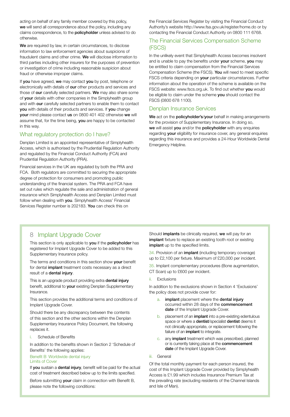acting on behalf of any family member covered by this policy, we will send all correspondence about the policy, including any claims correspondence, to the **policyholder** unless advised to do otherwise.

We are required by law, in certain circumstances, to disclose information to law enforcement agencies about suspicions of fraudulent claims and other crime. We will disclose information to third parties including other insurers for the purposes of prevention or investigation of crime including reasonable suspicion about fraud or otherwise improper claims.

If you have agreed, we may contact you by post, telephone or electronically with details of our other products and services and those of our carefully selected partners. We may also share some of your details with other companies in the Simplyhealth group and with our carefully selected partners to enable them to contact you with details of their products and services. If you change your mind please contact us on 0800 401 402 otherwise we will assume that, for the time being, you are happy to be contacted in this way.

#### What regulatory protection do I have?

Denplan Limited is an appointed representative of Simplyhealth Access, which is authorised by the Prudential Regulation Authority and regulated by the Financial Conduct Authority (FCA) and Prudential Regulation Authority (PRA).

Financial services in the UK are regulated by both the PRA and FCA. Both regulators are committed to securing the appropriate degree of protection for consumers and promoting public understanding of the financial system. The PRA and FCA have set out rules which regulate the sale and administration of general insurance which Simplyhealth Access and Denplan Limited must follow when dealing with you. Simplyhealth Access' Financial Services Register number is 202183. You can check this on

the Financial Services Register by visiting the Financial Conduct Authority's website http://www.fsa.gov.uk/register/home.do or by contacting the Financial Conduct Authority on 0800 111 6768.

#### The Financial Services Compensation Scheme (FSCS)

In the unlikely event that Simplyhealth Access becomes insolvent and is unable to pay the benefits under **vour** scheme, **vou** may be entitled to claim compensation from the Financial Services Compensation Scheme (the FSCS). You will need to meet specific FSCS criteria depending on **your** particular circumstances. Further information about the operation of the scheme is available on the FSCS website: www.fscs.org.uk. To find out whether you would be eligible to claim under the scheme you should contact the FSCS (0800 678 1100).

#### Denplan Insurance Services

We act on the policyholder's/your behalf in making arrangements for the provision of Supplementary Insurance. In doing so, we will assist you and/or the policyholder with any enquiries regarding your eligibility for insurance cover, any general enquiries regarding this insurance and provides a 24-Hour Worldwide Dental Emergency Helpline.

## 8 Implant Upgrade Cover

This section is only applicable to you if the policyholder has registered for Implant Upgrade Cover to be added to this Supplementary Insurance policy.

The terms and conditions in this section show **vour** benefit for dental implant treatment costs necessary as a direct result of a dental injury.

This is an upgrade product providing extra dental injury benefit, additional to your existing Denplan Supplementary Insurance.

This section provides the additional terms and conditions of Implant Upgrade Cover.

Should there be any discrepancy between the contents of this section and the other sections within the Denplan Supplementary Insurance Policy Document, the following replaces it.

i. Schedule of Benefits

In addition to the benefits shown in Section 2 'Schedule of Benefits' the following applies:

#### Benefit B Worldwide dental injury Limits of Cover

If you sustain a dental injury, benefit will be paid for the actual cost of treatment described below up to the limits specified.

Before submitting your claim in connection with Benefit B, please note the following conditions:

Should *implants* be clinically required, we will pay for an implant fixture to replace an existing tooth root or existing implant up to the specified limits.

34. Provision of an implant (including temporary coverage) up to £2,100 per fixture. Maximum of £20,000 per incident.

35. Implant complementary procedures (Bone augmentation, CT Scan) up to £600 per incident.

ii. Exclusions

In addition to the exclusions shown in Section 4 'Exclusions' the policy does not provide cover for:

- a. implant placement where the dental injury occurred within 28 days of the commencement date of the Implant Upgrade Cover.
- b. placement of an *implant* into a pre-existing edentulous space or where a dentist/specialist dentist deems it not clinically appropriate, or replacement following the failure of an implant to integrate.
- c. any implant treatment which was prescribed, planned or is currently taking place at the commencement date of the Implant Upgrade Cover.
- iii. General

Of the total monthly payment for each person insured, the cost of this Implant Upgrade Cover provided by Simplyhealth Access is £1.99 which includes Insurance Premium Tax at the prevailing rate (excluding residents of the Channel Islands and Isle of Man).